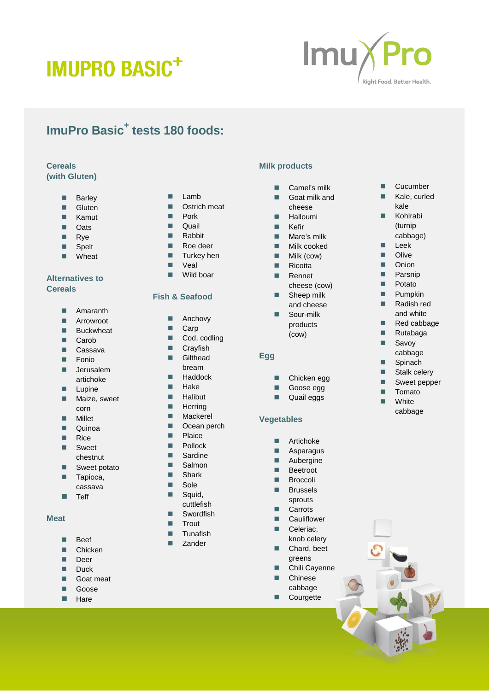# **IMUPRO BASIC<sup>+</sup>**



### **ImuPro Basic + tests 180 foods:**

#### **Cereals (with Gluten)**

- **Barley**
- Gluten
- Kamut
- **D** Oats
- **Rye**
- **Spelt**
- **N**Wheat

# **Alternatives to Cereals**

- **Amaranth**
- **Arrowroot**
- **Buckwheat**
- **Carob**
- Cassava
- **Fonio**
- **■** Jerusalem artichoke
- **Lupine**
- **Maize, sweet** corn
- **Millet**
- **Duinoa**
- $\blacksquare$  Rice
- **Sweet** chestnut
- Sweet potato
- **Tapioca,** cassava
- $\blacksquare$  Teff

#### **Meat**

- **Beef**
- **Chicken**
- **Deer**
- **Duck**
- Goat meat
- Goose
- **Hare**
- $\blacksquare$  Lamb
- **Deserved Deserved Deserved Deserved Deserved Deserved Deserved Deserved Deserved Deserved Deserved Deserved Deserved Deserved Deserved Deserved Deserved Deserved Deserved Deserved D**
- **Pork**
- **Quail Rabbit**
- Roe deer
- **Turkey hen**
- **N** Veal
- Wild boar

#### **Fish & Seafood**

- Anchovy
- Carp
- Cod, codling
- **Cravfish**
- **Gilthead** bream
- **Haddock**
- $H$ ake
- **Halibut**
- **Herring**
- **Mackerel**
- **D** Ocean perch **Plaice**
- **Pollock**
- Sardine
- Salmon
- **B** Shark
- Sole
- **Squid,**
- cuttlefish
- **Swordfish**
- $\blacksquare$  Trout
- **Tunafish**
- **Zander**

### **Milk products**

- Camel's milk
- **Goat milk and**
- cheese
- Halloumi
- **Kefir**
- **Mare's milk**
- **Milk cooked**
- $\blacksquare$  Milk (cow)
- $Ricotta$
- **Rennet** cheese (cow)
- Sheep milk and cheese
- Sour-milk products (cow)

#### **Egg**

- Chicken egg
- Goose egg
- **Quail eggs**
- **Vegetables**

- **Artichoke**
- **Asparagus Aubergine**
- **Beetroot**
- **Broccoli**
- **Brussels**
- sprouts **Carrots**
- **Cauliflower**
- Celeriac,
- knob celery ■ Chard, beet
- greens
- **Chili Cayenne Chinese**
- cabbage
- **Courgette**

**Cucumber**  Kale, curled kale

> **Kohlrabi** (turnip cabbage)

**Leek Dual** Olive **Dec** Onion **Parsnip Potato**  $\blacksquare$  Pumpkin Radish red and white Red cabbage **Rutabaga Savoy** cabbage **B** Spinach ■ Stalk celery Sweet pepper **Tomato White** cabbage